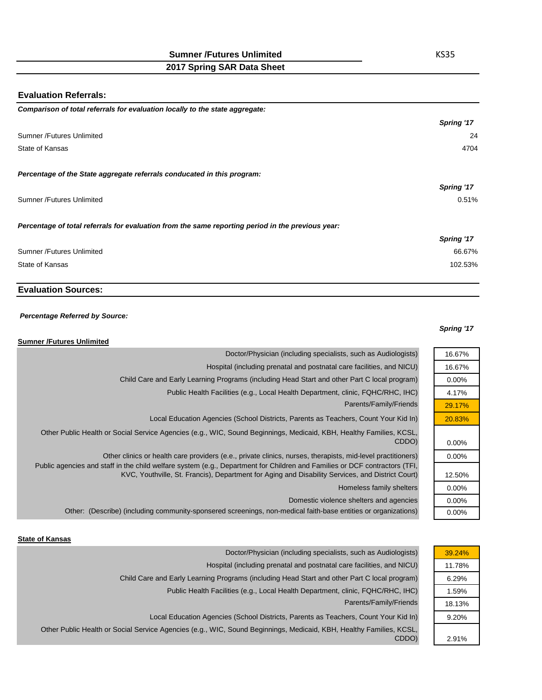**2017 Spring SAR Data Sheet**

## **Evaluation Referrals:**

| Comparison of total referrals for evaluation locally to the state aggregate:                      |            |
|---------------------------------------------------------------------------------------------------|------------|
|                                                                                                   | Spring '17 |
| <b>Sumner /Futures Unlimited</b>                                                                  | 24         |
| State of Kansas                                                                                   | 4704       |
|                                                                                                   |            |
| Percentage of the State aggregate referrals conducated in this program:                           |            |
|                                                                                                   | Spring '17 |
| Sumner /Futures Unlimited                                                                         | 0.51%      |
| Percentage of total referrals for evaluation from the same reporting period in the previous year: |            |
|                                                                                                   | Spring '17 |
| <b>Sumner /Futures Unlimited</b>                                                                  | 66.67%     |
| State of Kansas                                                                                   | 102.53%    |

# **Evaluation Sources:**

#### *Percentage Referred by Source:*

#### **Sumner /Futures Unlimited**

# Parents/Family/Friends Doctor/Physician (including specialists, such as Audiologists) Hospital (including prenatal and postnatal care facilities, and NICU) Child Care and Early Learning Programs (including Head Start and other Part C local program) Public Health Facilities (e.g., Local Health Department, clinic, FQHC/RHC, IHC) Local Education Agencies (School Districts, Parents as Teachers, Count Your Kid In) Other Public Health or Social Service Agencies (e.g., WIC, Sound Beginnings, Medicaid, KBH, Healthy Families, KCSL,

CDDO) Other clinics or health care providers (e.e., private clinics, nurses, therapists, mid-level practitioners) Public agencies and staff in the child welfare system (e.g., Department for Children and Families or DCF contractors (TFI, KVC, Youthville, St. Francis), Department for Aging and Disability Services, and District Court)

Homeless family shelters Domestic violence shelters and agencies Other: (Describe) (including community-sponsered screenings, non-medical faith-base entities or organizations)

#### **State of Kansas**

| Doctor/Physician (including specialists, such as Audiologists)                                                               |        |
|------------------------------------------------------------------------------------------------------------------------------|--------|
| Hospital (including prenatal and postnatal care facilities, and NICU)                                                        | 11.78% |
| Child Care and Early Learning Programs (including Head Start and other Part C local program)                                 | 6.29%  |
| Public Health Facilities (e.g., Local Health Department, clinic, FQHC/RHC, IHC)                                              | 1.59%  |
| Parents/Family/Friends                                                                                                       | 18.13% |
| Local Education Agencies (School Districts, Parents as Teachers, Count Your Kid In)                                          | 9.20%  |
| Other Public Health or Social Service Agencies (e.g., WIC, Sound Beginnings, Medicaid, KBH, Healthy Families, KCSL,<br>CDDO) | 2.91%  |

#### *Spring '17*

16.67% 16.67% 0.00% 4.17% 29.17% 20.83%

0.00% 0.00%

12.50% 0.00% 0.00% 0.00%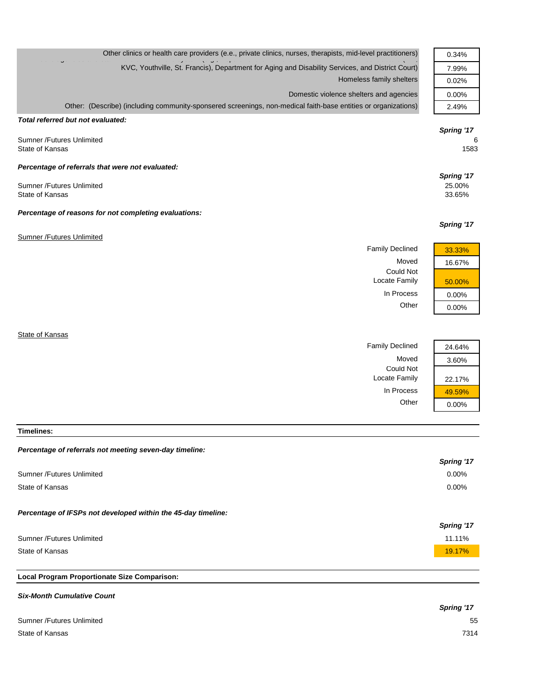| Other clinics or health care providers (e.e., private clinics, nurses, therapists, mid-level practitioners)    | 0.34%                |
|----------------------------------------------------------------------------------------------------------------|----------------------|
| KVC, Youthville, St. Francis), Department for Aging and Disability Services, and District Court)               | 7.99%                |
| Homeless family shelters                                                                                       | 0.02%                |
| Domestic violence shelters and agencies                                                                        | $0.00\%$             |
| Other: (Describe) (including community-sponsered screenings, non-medical faith-base entities or organizations) | 2.49%                |
| Total referred but not evaluated:<br><b>Sumner /Futures Unlimited</b><br>State of Kansas                       | Spring '17<br>1583   |
| Percentage of referrals that were not evaluated:<br>Sumner /Futures Unlimited                                  | Spring '17<br>25.00% |
| State of Kansas                                                                                                | 33.65%               |
| Percentage of reasons for not completing evaluations:                                                          |                      |

#### Sumner /Futures Unlimited

Family Declined 33.33% Moved 16.67% Could Not Locate Family 50.00% In Process 0.00%



*Spring '17*

Family Declined 24.64% Moved 3.60% Could Not Locate Family 22.17% In Process  $\frac{49.59\%}{0.00\%}$ 



### **Timelines:**

**State of Kansas** 

# *Percentage of referrals not meeting seven-day timeline:*

|                                                               | Spring '17 |
|---------------------------------------------------------------|------------|
| Sumner /Futures Unlimited                                     | 0.00%      |
| State of Kansas                                               | $0.00\%$   |
| Percentage of IFSPs not developed within the 45-day timeline: |            |
|                                                               | Spring '17 |
| Sumner /Futures Unlimited                                     | 11.11%     |
| State of Kansas                                               | 19.17%     |
|                                                               |            |

# **Local Program Proportionate Size Comparison:**

#### *Six-Month Cumulative Count*

|                           | Spring '17 |
|---------------------------|------------|
| Sumner /Futures Unlimited | 55         |
| State of Kansas           | 7314       |